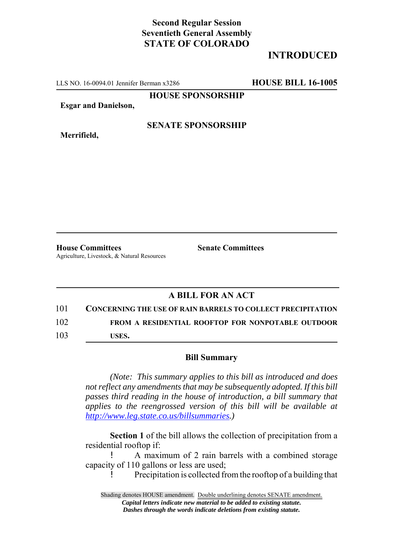## **Second Regular Session Seventieth General Assembly STATE OF COLORADO**

# **INTRODUCED**

LLS NO. 16-0094.01 Jennifer Berman x3286 **HOUSE BILL 16-1005**

**HOUSE SPONSORSHIP**

**Esgar and Danielson,**

**Merrifield,**

#### **SENATE SPONSORSHIP**

**House Committees Senate Committees** Agriculture, Livestock, & Natural Resources

### **A BILL FOR AN ACT**

### 101 **CONCERNING THE USE OF RAIN BARRELS TO COLLECT PRECIPITATION**

102 **FROM A RESIDENTIAL ROOFTOP FOR NONPOTABLE OUTDOOR**

103 **USES.**

### **Bill Summary**

*(Note: This summary applies to this bill as introduced and does not reflect any amendments that may be subsequently adopted. If this bill passes third reading in the house of introduction, a bill summary that applies to the reengrossed version of this bill will be available at http://www.leg.state.co.us/billsummaries.)*

**Section 1** of the bill allows the collection of precipitation from a residential rooftop if:

! A maximum of 2 rain barrels with a combined storage capacity of 110 gallons or less are used;

! Precipitation is collected from the rooftop of a building that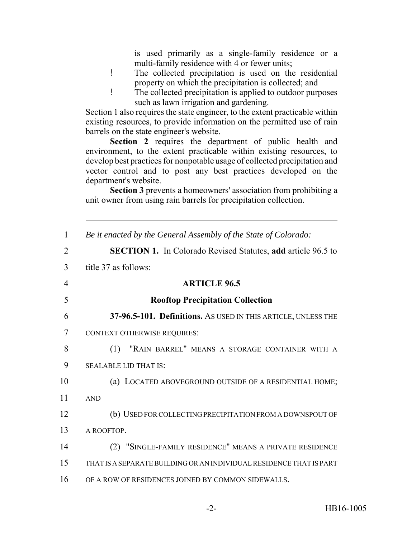is used primarily as a single-family residence or a multi-family residence with 4 or fewer units;

- ! The collected precipitation is used on the residential property on which the precipitation is collected; and
- ! The collected precipitation is applied to outdoor purposes such as lawn irrigation and gardening.

Section 1 also requires the state engineer, to the extent practicable within existing resources, to provide information on the permitted use of rain barrels on the state engineer's website.

**Section 2** requires the department of public health and environment, to the extent practicable within existing resources, to develop best practices for nonpotable usage of collected precipitation and vector control and to post any best practices developed on the department's website.

**Section 3** prevents a homeowners' association from prohibiting a unit owner from using rain barrels for precipitation collection.

| 1              | Be it enacted by the General Assembly of the State of Colorado:     |
|----------------|---------------------------------------------------------------------|
| $\overline{2}$ | <b>SECTION 1.</b> In Colorado Revised Statutes, add article 96.5 to |
| 3              | title 37 as follows:                                                |
| 4              | <b>ARTICLE 96.5</b>                                                 |
| 5              | <b>Rooftop Precipitation Collection</b>                             |
| 6              | 37-96.5-101. Definitions. As USED IN THIS ARTICLE, UNLESS THE       |
| 7              | <b>CONTEXT OTHERWISE REQUIRES:</b>                                  |
| 8              | "RAIN BARREL" MEANS A STORAGE CONTAINER WITH A<br>(1)               |
| 9              | <b>SEALABLE LID THAT IS:</b>                                        |
| 10             | (a) LOCATED ABOVEGROUND OUTSIDE OF A RESIDENTIAL HOME;              |
| 11             | <b>AND</b>                                                          |
| 12             | (b) USED FOR COLLECTING PRECIPITATION FROM A DOWNSPOUT OF           |
| 13             | A ROOFTOP.                                                          |
| 14             | (2) "SINGLE-FAMILY RESIDENCE" MEANS A PRIVATE RESIDENCE             |
| 15             | THAT IS A SEPARATE BUILDING OR AN INDIVIDUAL RESIDENCE THAT IS PART |
| 16             | OF A ROW OF RESIDENCES JOINED BY COMMON SIDEWALLS.                  |
|                |                                                                     |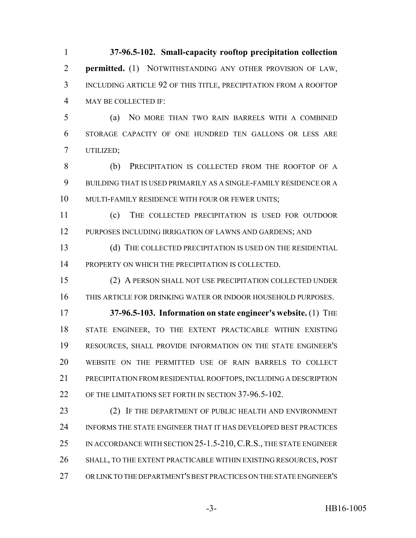**37-96.5-102. Small-capacity rooftop precipitation collection permitted.** (1) NOTWITHSTANDING ANY OTHER PROVISION OF LAW, INCLUDING ARTICLE 92 OF THIS TITLE, PRECIPITATION FROM A ROOFTOP MAY BE COLLECTED IF:

 (a) NO MORE THAN TWO RAIN BARRELS WITH A COMBINED STORAGE CAPACITY OF ONE HUNDRED TEN GALLONS OR LESS ARE UTILIZED;

 (b) PRECIPITATION IS COLLECTED FROM THE ROOFTOP OF A BUILDING THAT IS USED PRIMARILY AS A SINGLE-FAMILY RESIDENCE OR A MULTI-FAMILY RESIDENCE WITH FOUR OR FEWER UNITS;

 (c) THE COLLECTED PRECIPITATION IS USED FOR OUTDOOR PURPOSES INCLUDING IRRIGATION OF LAWNS AND GARDENS; AND

 (d) THE COLLECTED PRECIPITATION IS USED ON THE RESIDENTIAL PROPERTY ON WHICH THE PRECIPITATION IS COLLECTED.

 (2) A PERSON SHALL NOT USE PRECIPITATION COLLECTED UNDER THIS ARTICLE FOR DRINKING WATER OR INDOOR HOUSEHOLD PURPOSES.

 **37-96.5-103. Information on state engineer's website.** (1) THE STATE ENGINEER, TO THE EXTENT PRACTICABLE WITHIN EXISTING RESOURCES, SHALL PROVIDE INFORMATION ON THE STATE ENGINEER'S WEBSITE ON THE PERMITTED USE OF RAIN BARRELS TO COLLECT PRECIPITATION FROM RESIDENTIAL ROOFTOPS, INCLUDING A DESCRIPTION OF THE LIMITATIONS SET FORTH IN SECTION 37-96.5-102.

23 (2) IF THE DEPARTMENT OF PUBLIC HEALTH AND ENVIRONMENT INFORMS THE STATE ENGINEER THAT IT HAS DEVELOPED BEST PRACTICES 25 IN ACCORDANCE WITH SECTION 25-1.5-210, C.R.S., THE STATE ENGINEER SHALL, TO THE EXTENT PRACTICABLE WITHIN EXISTING RESOURCES, POST OR LINK TO THE DEPARTMENT'S BEST PRACTICES ON THE STATE ENGINEER'S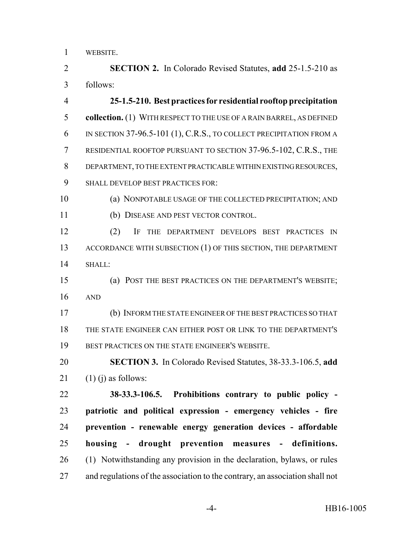WEBSITE.

 **SECTION 2.** In Colorado Revised Statutes, **add** 25-1.5-210 as follows:

 **25-1.5-210. Best practices for residential rooftop precipitation collection.** (1) WITH RESPECT TO THE USE OF A RAIN BARREL, AS DEFINED IN SECTION 37-96.5-101 (1), C.R.S., TO COLLECT PRECIPITATION FROM A RESIDENTIAL ROOFTOP PURSUANT TO SECTION 37-96.5-102, C.R.S., THE DEPARTMENT, TO THE EXTENT PRACTICABLE WITHIN EXISTING RESOURCES, SHALL DEVELOP BEST PRACTICES FOR:

 (a) NONPOTABLE USAGE OF THE COLLECTED PRECIPITATION; AND (b) DISEASE AND PEST VECTOR CONTROL.

 (2) IF THE DEPARTMENT DEVELOPS BEST PRACTICES IN 13 ACCORDANCE WITH SUBSECTION (1) OF THIS SECTION, THE DEPARTMENT SHALL:

 (a) POST THE BEST PRACTICES ON THE DEPARTMENT'S WEBSITE; AND

 (b) INFORM THE STATE ENGINEER OF THE BEST PRACTICES SO THAT THE STATE ENGINEER CAN EITHER POST OR LINK TO THE DEPARTMENT'S BEST PRACTICES ON THE STATE ENGINEER'S WEBSITE.

 **SECTION 3.** In Colorado Revised Statutes, 38-33.3-106.5, **add** (1) (i) as follows:

 **38-33.3-106.5. Prohibitions contrary to public policy - patriotic and political expression - emergency vehicles - fire prevention - renewable energy generation devices - affordable housing - drought prevention measures - definitions.** (1) Notwithstanding any provision in the declaration, bylaws, or rules and regulations of the association to the contrary, an association shall not